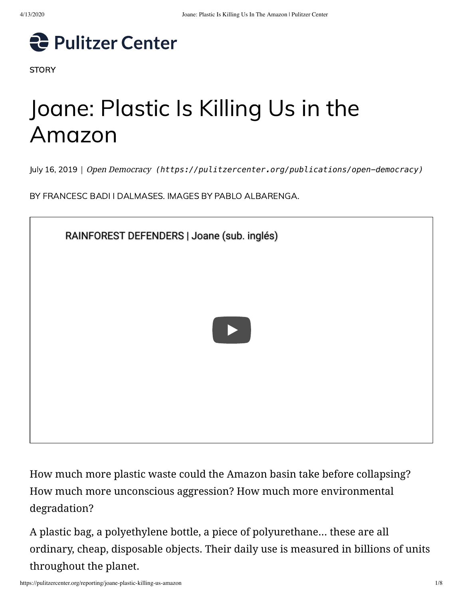

**STORY** 

# Joane: Plastic Is Killing Us in the Amazon

July 16, 2019 | Open Democracy *[\(https://pulitzercenter.org/publications/open-democracy\)](https://pulitzercenter.org/publications/open-democracy)*

BY FRANCESC BADI I DALMASES. IMAGES BY PABLO ALBARENGA.



How much more plastic waste could the Amazon basin take before collapsing? How much more unconscious aggression? How much more environmental degradation?

A plastic bag, a polyethylene bottle, a piece of polyurethane... these are all ordinary, cheap, disposable objects. Their daily use is measured in billions of units throughout the planet.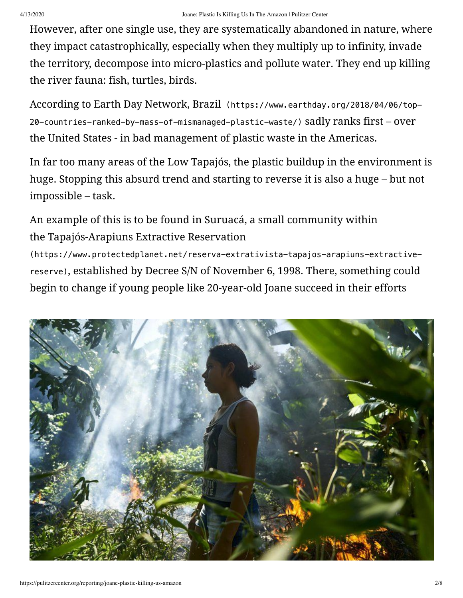However, after one single use, they are systematically abandoned in nature, where they impact catastrophically, especially when they multiply up to infinity, invade the territory, decompose into micro-plastics and pollute water. They end up killing the river fauna: fish, turtles, birds.

According to Earth Day Network, Brazil (https://www.earthday.org/2018/04/06/top-[20-countries-ranked-by-mass-of-mismanaged-plastic-waste/\)](https://www.earthday.org/2018/04/06/top-20-countries-ranked-by-mass-of-mismanaged-plastic-waste/) sadly ranks first – over the United States - in bad management of plastic waste in the Americas.

In far too many areas of the Low Tapajós, the plastic buildup in the environment is huge. Stopping this absurd trend and starting to reverse it is also a huge – but not impossible – task.

An example of this is to be found in Suruacá, a small community within the Tapajós-Arapiuns Extractive Reservation

(https://www.protectedplanet.net/reserva-extrativista-tapajos-arapiuns-extractivereserve)[, established by Decree S/N of November 6, 1998. There, something could](https://www.protectedplanet.net/reserva-extrativista-tapajos-arapiuns-extractive-reserve) begin to change if young people like 20-year-old Joane succeed in their efforts

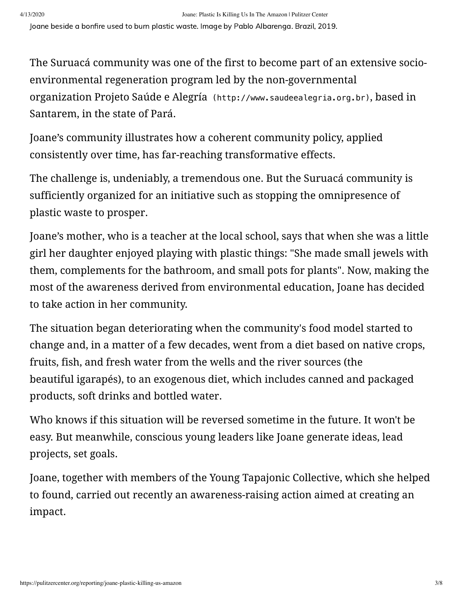Joane beside a bonfire used to burn plastic waste. Image by Pablo Albarenga. Brazil, 2019.

The Suruacá community was one of the first to become part of an extensive socioenvironmental regeneration program led by the non-governmental organization Projeto Saúde e Alegría [\(http://www.saudeealegria.org.br\)](http://www.saudeealegria.org.br/), based in Santarem, in the state of Pará.

Joane's community illustrates how a coherent community policy, applied consistently over time, has far-reaching transformative effects.

The challenge is, undeniably, a tremendous one. But the Suruacá community is sufficiently organized for an initiative such as stopping the omnipresence of plastic waste to prosper.

Joane's mother, who is a teacher at the local school, says that when she was a little girl her daughter enjoyed playing with plastic things: "She made small jewels with them, complements for the bathroom, and small pots for plants". Now, making the most of the awareness derived from environmental education, Joane has decided to take action in her community.

The situation began deteriorating when the community's food model started to change and, in a matter of a few decades, went from a diet based on native crops, fruits, fish, and fresh water from the wells and the river sources (the beautiful igarapés), to an exogenous diet, which includes canned and packaged products, soft drinks and bottled water.

Who knows if this situation will be reversed sometime in the future. It won't be easy. But meanwhile, conscious young leaders like Joane generate ideas, lead projects, set goals.

Joane, together with members of the Young Tapajonic Collective, which she helped to found, carried out recently an awareness-raising action aimed at creating an impact.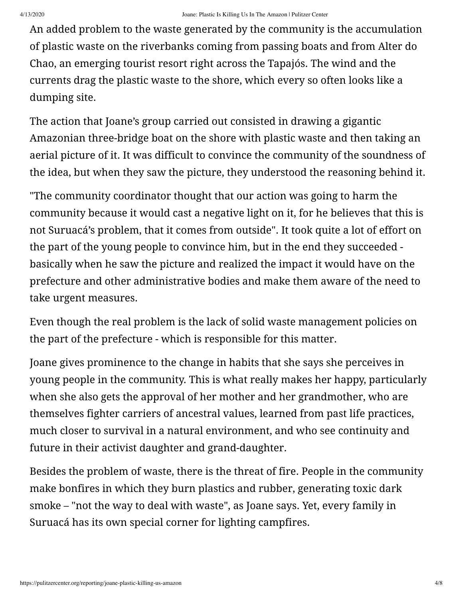An added problem to the waste generated by the community is the accumulation of plastic waste on the riverbanks coming from passing boats and from Alter do Chao, an emerging tourist resort right across the Tapajós. The wind and the currents drag the plastic waste to the shore, which every so often looks like a dumping site.

The action that Joane's group carried out consisted in drawing a gigantic Amazonian three-bridge boat on the shore with plastic waste and then taking an aerial picture of it. It was difficult to convince the community of the soundness of the idea, but when they saw the picture, they understood the reasoning behind it.

"The community coordinator thought that our action was going to harm the community because it would cast a negative light on it, for he believes that this is not Suruacá's problem, that it comes from outside". It took quite a lot of effort on the part of the young people to convince him, but in the end they succeeded basically when he saw the picture and realized the impact it would have on the prefecture and other administrative bodies and make them aware of the need to take urgent measures.

Even though the real problem is the lack of solid waste management policies on the part of the prefecture - which is responsible for this matter.

Joane gives prominence to the change in habits that she says she perceives in young people in the community. This is what really makes her happy, particularly when she also gets the approval of her mother and her grandmother, who are themselves fighter carriers of ancestral values, learned from past life practices, much closer to survival in a natural environment, and who see continuity and future in their activist daughter and grand-daughter.

Besides the problem of waste, there is the threat of fire. People in the community make bonfires in which they burn plastics and rubber, generating toxic dark smoke – "not the way to deal with waste", as Joane says. Yet, every family in Suruacá has its own special corner for lighting campfires.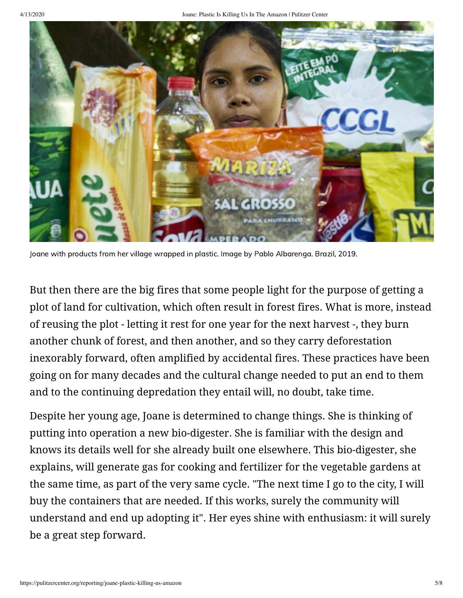

Joane with products from her village wrapped in plastic. Image by Pablo Albarenga. Brazil, 2019.

But then there are the big fires that some people light for the purpose of getting a plot of land for cultivation, which often result in forest fires. What is more, instead of reusing the plot - letting it rest for one year for the next harvest -, they burn another chunk of forest, and then another, and so they carry deforestation inexorably forward, often amplified by accidental fires. These practices have been going on for many decades and the cultural change needed to put an end to them and to the continuing depredation they entail will, no doubt, take time.

Despite her young age, Joane is determined to change things. She is thinking of putting into operation a new bio-digester. She is familiar with the design and knows its details well for she already built one elsewhere. This bio-digester, she explains, will generate gas for cooking and fertilizer for the vegetable gardens at the same time, as part of the very same cycle. "The next time I go to the city, I will buy the containers that are needed. If this works, surely the community will understand and end up adopting it". Her eyes shine with enthusiasm: it will surely be a great step forward.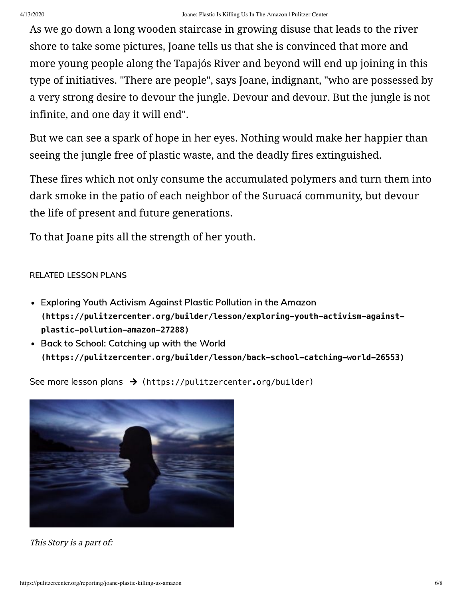As we go down a long wooden staircase in growing disuse that leads to the river shore to take some pictures, Joane tells us that she is convinced that more and more young people along the Tapajós River and beyond will end up joining in this type of initiatives. "There are people", says Joane, indignant, "who are possessed by a very strong desire to devour the jungle. Devour and devour. But the jungle is not infinite, and one day it will end".

But we can see a spark of hope in her eyes. Nothing would make her happier than seeing the jungle free of plastic waste, and the deadly fires extinguished.

These fires which not only consume the accumulated polymers and turn them into dark smoke in the patio of each neighbor of the Suruacá community, but devour the life of present and future generations.

To that Joane pits all the strength of her youth.

#### RELATED LESSON PLANS

- Exploring Youth Activism Against Plastic Pollution in the Amazon **[\(https://pulitzercenter.org/builder/lesson/exploring-youth-activism-against](https://pulitzercenter.org/builder/lesson/exploring-youth-activism-against-plastic-pollution-amazon-27288)plastic-pollution-amazon-27288)**
- Back to School: Catching up with the World **[\(https://pulitzercenter.org/builder/lesson/back-school-catching-world-26553\)](https://pulitzercenter.org/builder/lesson/back-school-catching-world-26553)**

See more lesson plans  $\rightarrow$  [\(https://pulitzercenter.org/builder\)](https://pulitzercenter.org/builder)



This Story is a part of: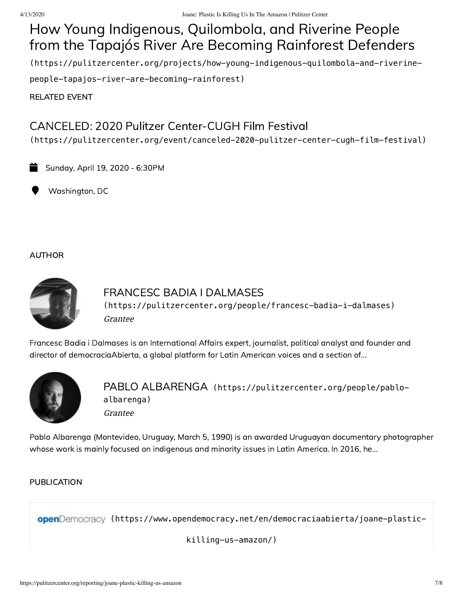# How Young Indigenous, Quilombola, and Riverine People from the Tapajós River Are Becoming Rainforest Defenders

[\(https://pulitzercenter.org/projects/how-young-indigenous-quilombola-and-riverine-](https://pulitzercenter.org/projects/how-young-indigenous-quilombola-and-riverine-people-tapajos-river-are-becoming-rainforest)

people-tapajos-river-are-becoming-rainforest)

RELATED EVENT

## CANCELED: 2020 Pulitzer Center-CUGH Film Festival

[\(https://pulitzercenter.org/event/canceled-2020-pulitzer-center-cugh-film-festival\)](https://pulitzercenter.org/event/canceled-2020-pulitzer-center-cugh-film-festival)

Sunday, April 19, 2020 - 6:30PM

Washington, DC

#### AUTHOR



### Grantee FRANCESC BADIA I DALMASES [\(https://pulitzercenter.org/people/francesc-badia-i-dalmases\)](https://pulitzercenter.org/people/francesc-badia-i-dalmases)

Francesc Badia i Dalmases is an International Affairs expert, journalist, political analyst and founder and director of democraciaAbierta, a global platform for Latin American voices and a section of...



Grantee PABLO ALBARENGA [\(https://pulitzercenter.org/people/pablo](https://pulitzercenter.org/people/pablo-albarenga)albarenga)

Pablo Albarenga (Montevideo, Uruguay, March 5, 1990) is an awarded Uruguayan documentary photographer whose work is mainly focused on indigenous and minority issues in Latin America. In 2016, he...

#### PUBLICATION

openDemocracy [\(https://www.opendemocracy.net/en/democraciaabierta/joane-plastic-](https://www.opendemocracy.net/en/democraciaabierta/joane-plastic-killing-us-amazon/)

killing-us-amazon/)